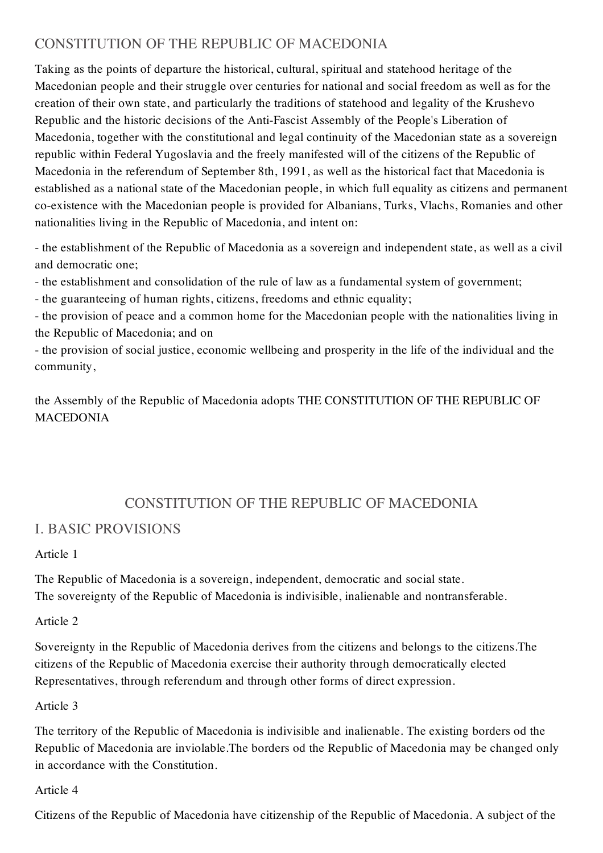# CONSTITUTION OF THE REPUBLIC OF MACEDONIA

Taking as the points of departure the historical, cultural, spiritual and statehood heritage of the Macedonian people and their struggle over centuries for national and social freedom as well as for the creation of their own state, and particularly the traditions of statehood and legality of the Krushevo Republic and the historic decisions of the Anti-Fascist Assembly of the People's Liberation of Macedonia, together with the constitutional and legal continuity of the Macedonian state as a sovereign republic within Federal Yugoslavia and the freely manifested will of the citizens of the Republic of Macedonia in the referendum of September 8th, 1991, as well as the historical fact that Macedonia is established as a national state of the Macedonian people, in which full equality as citizens and permanent co-existence with the Macedonian people is provided for Albanians, Turks, Vlachs, Romanies and other nationalities living in the Republic of Macedonia, and intent on:

- the establishment of the Republic of Macedonia as a sovereign and independent state, as well as a civil and democratic one;

- the establishment and consolidation of the rule of law as a fundamental system of government;

- the guaranteeing of human rights, citizens, freedoms and ethnic equality;

- the provision of peace and a common home for the Macedonian people with the nationalities living in the Republic of Macedonia; and on

- the provision of social justice, economic wellbeing and prosperity in the life of the individual and the community,

the Assembly of the Republic of Macedonia adopts THE CONSTITUTION OF THE REPUBLIC OF **MACEDONIA** 

# CONSTITUTION OF THE REPUBLIC OF MACEDONIA

## I. BASIC PROVISIONS

## Article 1

The Republic of Macedonia is a sovereign, independent, democratic and social state. The sovereignty of the Republic of Macedonia is indivisible, inalienable and nontransferable.

## Article 2

Sovereignty in the Republic of Macedonia derives from the citizens and belongs to the citizens.The citizens of the Republic of Macedonia exercise their authority through democratically elected Representatives, through referendum and through other forms of direct expression.

## Article 3

The territory of the Republic of Macedonia is indivisible and inalienable. The existing borders od the Republic of Macedonia are inviolable.The borders od the Republic of Macedonia may be changed only in accordance with the Constitution.

## Article 4

Citizens of the Republic of Macedonia have citizenship of the Republic of Macedonia. A subject of the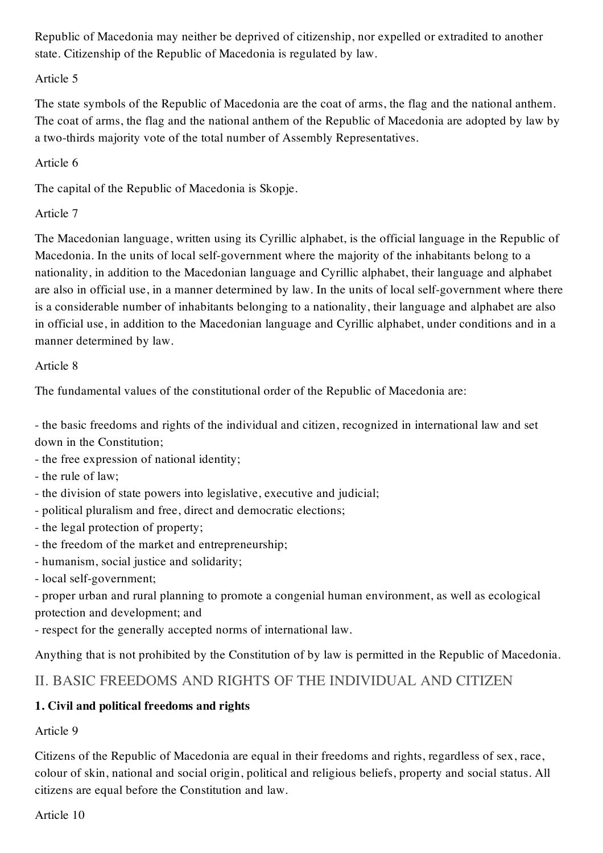Republic of Macedonia may neither be deprived of citizenship, nor expelled or extradited to another state. Citizenship of the Republic of Macedonia is regulated by law.

## Article 5

The state symbols of the Republic of Macedonia are the coat of arms, the flag and the national anthem. The coat of arms, the flag and the national anthem of the Republic of Macedonia are adopted by law by a two-thirds majority vote of the total number of Assembly Representatives.

## Article 6

The capital of the Republic of Macedonia is Skopje.

## Article 7

The Macedonian language, written using its Cyrillic alphabet, is the official language in the Republic of Macedonia. In the units of local self-government where the majority of the inhabitants belong to a nationality, in addition to the Macedonian language and Cyrillic alphabet, their language and alphabet are also in official use, in a manner determined by law. In the units of local self-government where there is a considerable number of inhabitants belonging to a nationality, their language and alphabet are also in official use, in addition to the Macedonian language and Cyrillic alphabet, under conditions and in a manner determined by law.

## Article 8

The fundamental values of the constitutional order of the Republic of Macedonia are:

- the basic freedoms and rights of the individual and citizen, recognized in international law and set down in the Constitution;

- the free expression of national identity;

- the rule of law;

- the division of state powers into legislative, executive and judicial;
- political pluralism and free, direct and democratic elections;
- the legal protection of property;
- the freedom of the market and entrepreneurship;
- humanism, social justice and solidarity;
- local self-government;

- proper urban and rural planning to promote a congenial human environment, as well as ecological protection and development; and

- respect for the generally accepted norms of international law.

Anything that is not prohibited by the Constitution of by law is permitted in the Republic of Macedonia.

# II. BASIC FREEDOMS AND RIGHTS OF THE INDIVIDUAL AND CITIZEN

## **1. Civil and political freedoms and rights**

## Article 9

Citizens of the Republic of Macedonia are equal in their freedoms and rights, regardless of sex, race, colour of skin, national and social origin, political and religious beliefs, property and social status. All citizens are equal before the Constitution and law.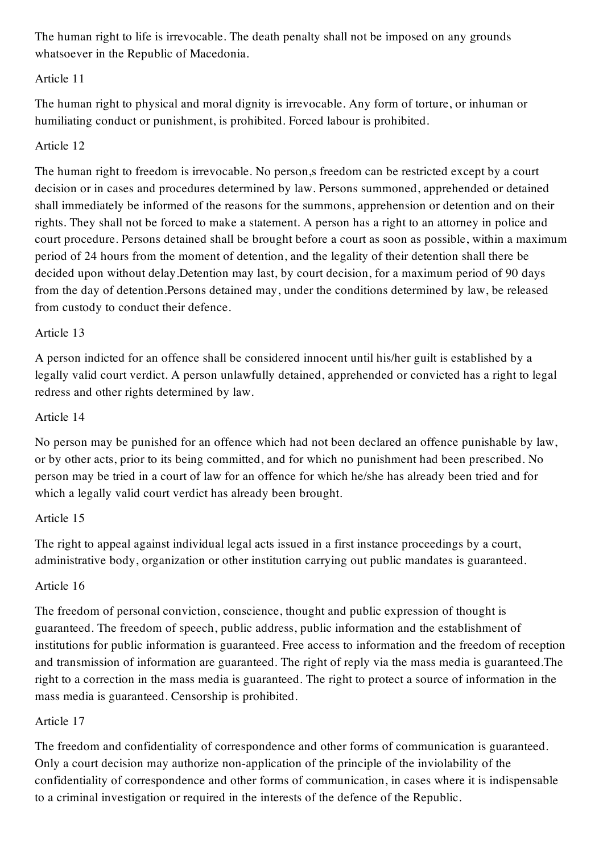The human right to life is irrevocable. The death penalty shall not be imposed on any grounds whatsoever in the Republic of Macedonia.

## Article 11

The human right to physical and moral dignity is irrevocable. Any form of torture, or inhuman or humiliating conduct or punishment, is prohibited. Forced labour is prohibited.

## Article 12

The human right to freedom is irrevocable. No person,s freedom can be restricted except by a court decision or in cases and procedures determined by law. Persons summoned, apprehended or detained shall immediately be informed of the reasons for the summons, apprehension or detention and on their rights. They shall not be forced to make a statement. A person has a right to an attorney in police and court procedure. Persons detained shall be brought before a court as soon as possible, within a maximum period of 24 hours from the moment of detention, and the legality of their detention shall there be decided upon without delay.Detention may last, by court decision, for a maximum period of 90 days from the day of detention.Persons detained may, under the conditions determined by law, be released from custody to conduct their defence.

## Article 13

A person indicted for an offence shall be considered innocent until his/her guilt is established by a legally valid court verdict. A person unlawfully detained, apprehended or convicted has a right to legal redress and other rights determined by law.

## Article 14

No person may be punished for an offence which had not been declared an offence punishable by law, or by other acts, prior to its being committed, and for which no punishment had been prescribed. No person may be tried in a court of law for an offence for which he/she has already been tried and for which a legally valid court verdict has already been brought.

## Article 15

The right to appeal against individual legal acts issued in a first instance proceedings by a court, administrative body, organization or other institution carrying out public mandates is guaranteed.

## Article 16

The freedom of personal conviction, conscience, thought and public expression of thought is guaranteed. The freedom of speech, public address, public information and the establishment of institutions for public information is guaranteed. Free access to information and the freedom of reception and transmission of information are guaranteed. The right of reply via the mass media is guaranteed.The right to a correction in the mass media is guaranteed. The right to protect a source of information in the mass media is guaranteed. Censorship is prohibited.

## Article 17

The freedom and confidentiality of correspondence and other forms of communication is guaranteed. Only a court decision may authorize non-application of the principle of the inviolability of the confidentiality of correspondence and other forms of communication, in cases where it is indispensable to a criminal investigation or required in the interests of the defence of the Republic.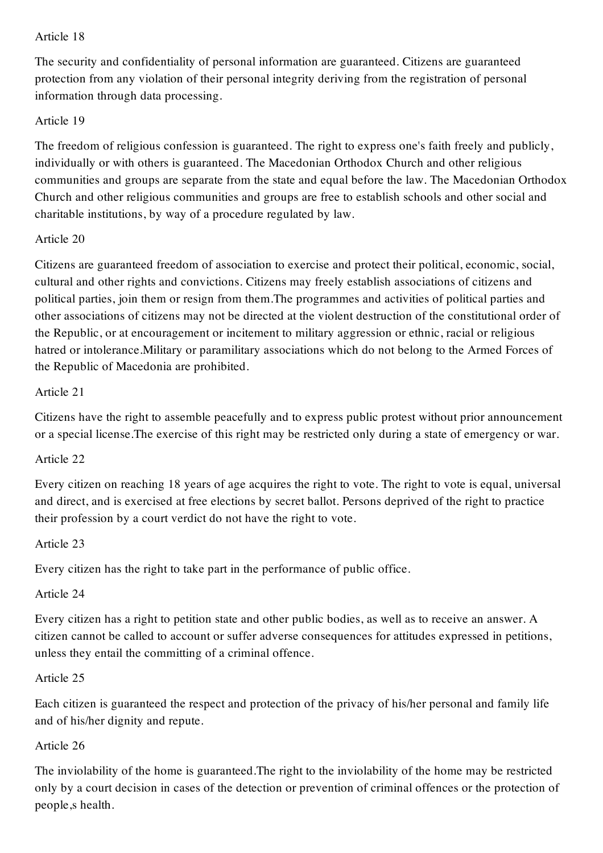The security and confidentiality of personal information are guaranteed. Citizens are guaranteed protection from any violation of their personal integrity deriving from the registration of personal information through data processing.

#### Article 19

The freedom of religious confession is guaranteed. The right to express one's faith freely and publicly, individually or with others is guaranteed. The Macedonian Orthodox Church and other religious communities and groups are separate from the state and equal before the law. The Macedonian Orthodox Church and other religious communities and groups are free to establish schools and other social and charitable institutions, by way of a procedure regulated by law.

## Article 20

Citizens are guaranteed freedom of association to exercise and protect their political, economic, social, cultural and other rights and convictions. Citizens may freely establish associations of citizens and political parties, join them or resign from them.The programmes and activities of political parties and other associations of citizens may not be directed at the violent destruction of the constitutional order of the Republic, or at encouragement or incitement to military aggression or ethnic, racial or religious hatred or intolerance.Military or paramilitary associations which do not belong to the Armed Forces of the Republic of Macedonia are prohibited.

### Article 21

Citizens have the right to assemble peacefully and to express public protest without prior announcement or a special license.The exercise of this right may be restricted only during a state of emergency or war.

## Article 22

Every citizen on reaching 18 years of age acquires the right to vote. The right to vote is equal, universal and direct, and is exercised at free elections by secret ballot. Persons deprived of the right to practice their profession by a court verdict do not have the right to vote.

## Article 23

Every citizen has the right to take part in the performance of public office.

## Article 24

Every citizen has a right to petition state and other public bodies, as well as to receive an answer. A citizen cannot be called to account or suffer adverse consequences for attitudes expressed in petitions, unless they entail the committing of a criminal offence.

#### Article 25

Each citizen is guaranteed the respect and protection of the privacy of his/her personal and family life and of his/her dignity and repute.

#### Article 26

The inviolability of the home is guaranteed.The right to the inviolability of the home may be restricted only by a court decision in cases of the detection or prevention of criminal offences or the protection of people,s health.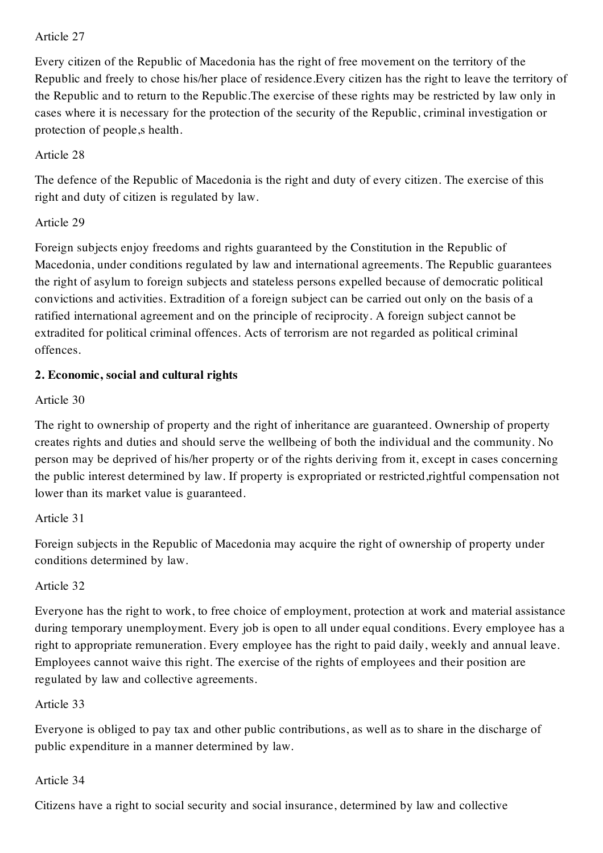Every citizen of the Republic of Macedonia has the right of free movement on the territory of the Republic and freely to chose his/her place of residence.Every citizen has the right to leave the territory of the Republic and to return to the Republic.The exercise of these rights may be restricted by law only in cases where it is necessary for the protection of the security of the Republic, criminal investigation or protection of people,s health.

## Article 28

The defence of the Republic of Macedonia is the right and duty of every citizen. The exercise of this right and duty of citizen is regulated by law.

## Article 29

Foreign subjects enjoy freedoms and rights guaranteed by the Constitution in the Republic of Macedonia, under conditions regulated by law and international agreements. The Republic guarantees the right of asylum to foreign subjects and stateless persons expelled because of democratic political convictions and activities. Extradition of a foreign subject can be carried out only on the basis of a ratified international agreement and on the principle of reciprocity. A foreign subject cannot be extradited for political criminal offences. Acts of terrorism are not regarded as political criminal offences.

## **2. Economic, social and cultural rights**

## Article 30

The right to ownership of property and the right of inheritance are guaranteed. Ownership of property creates rights and duties and should serve the wellbeing of both the individual and the community. No person may be deprived of his/her property or of the rights deriving from it, except in cases concerning the public interest determined by law. If property is expropriated or restricted,rightful compensation not lower than its market value is guaranteed.

## Article 31

Foreign subjects in the Republic of Macedonia may acquire the right of ownership of property under conditions determined by law.

## Article 32

Everyone has the right to work, to free choice of employment, protection at work and material assistance during temporary unemployment. Every job is open to all under equal conditions. Every employee has a right to appropriate remuneration. Every employee has the right to paid daily, weekly and annual leave. Employees cannot waive this right. The exercise of the rights of employees and their position are regulated by law and collective agreements.

## Article 33

Everyone is obliged to pay tax and other public contributions, as well as to share in the discharge of public expenditure in a manner determined by law.

## Article 34

Citizens have a right to social security and social insurance, determined by law and collective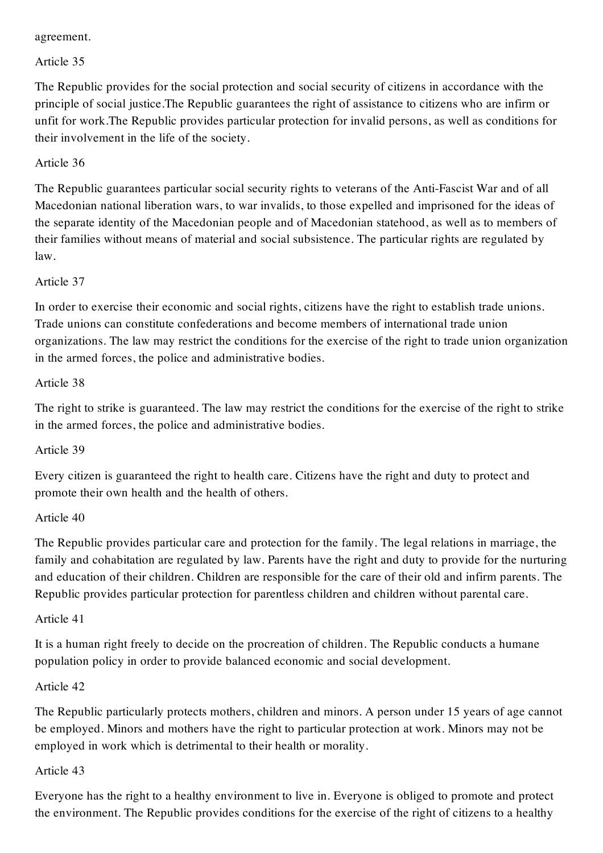agreement.

### Article 35

The Republic provides for the social protection and social security of citizens in accordance with the principle of social justice.The Republic guarantees the right of assistance to citizens who are infirm or unfit for work.The Republic provides particular protection for invalid persons, as well as conditions for their involvement in the life of the society.

### Article 36

The Republic guarantees particular social security rights to veterans of the Anti-Fascist War and of all Macedonian national liberation wars, to war invalids, to those expelled and imprisoned for the ideas of the separate identity of the Macedonian people and of Macedonian statehood, as well as to members of their families without means of material and social subsistence. The particular rights are regulated by law.

#### Article 37

In order to exercise their economic and social rights, citizens have the right to establish trade unions. Trade unions can constitute confederations and become members of international trade union organizations. The law may restrict the conditions for the exercise of the right to trade union organization in the armed forces, the police and administrative bodies.

#### Article 38

The right to strike is guaranteed. The law may restrict the conditions for the exercise of the right to strike in the armed forces, the police and administrative bodies.

#### Article 39

Every citizen is guaranteed the right to health care. Citizens have the right and duty to protect and promote their own health and the health of others.

#### Article 40

The Republic provides particular care and protection for the family. The legal relations in marriage, the family and cohabitation are regulated by law. Parents have the right and duty to provide for the nurturing and education of their children. Children are responsible for the care of their old and infirm parents. The Republic provides particular protection for parentless children and children without parental care.

#### Article 41

It is a human right freely to decide on the procreation of children. The Republic conducts a humane population policy in order to provide balanced economic and social development.

#### Article 42

The Republic particularly protects mothers, children and minors. A person under 15 years of age cannot be employed. Minors and mothers have the right to particular protection at work. Minors may not be employed in work which is detrimental to their health or morality.

#### Article 43

Everyone has the right to a healthy environment to live in. Everyone is obliged to promote and protect the environment. The Republic provides conditions for the exercise of the right of citizens to a healthy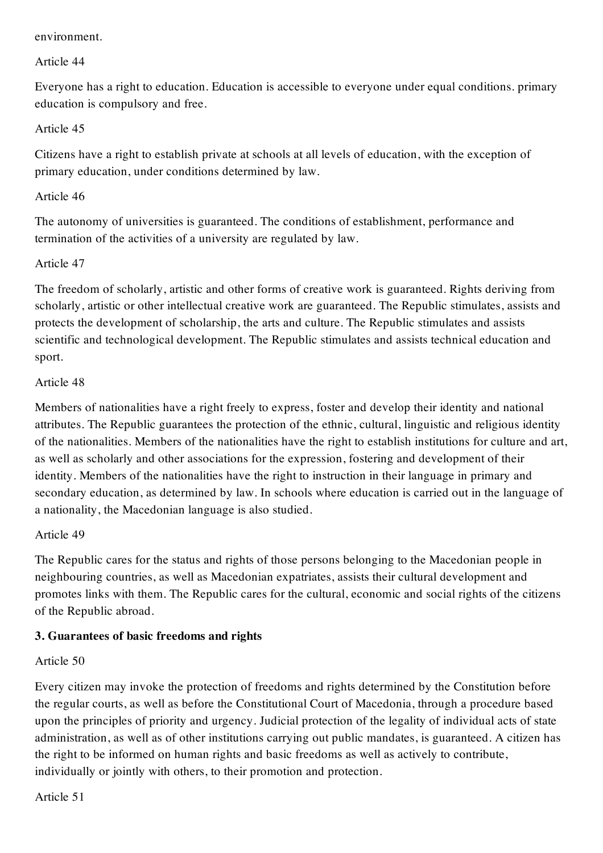#### environment.

#### Article 44

Everyone has a right to education. Education is accessible to everyone under equal conditions. primary education is compulsory and free.

### Article 45

Citizens have a right to establish private at schools at all levels of education, with the exception of primary education, under conditions determined by law.

#### Article 46

The autonomy of universities is guaranteed. The conditions of establishment, performance and termination of the activities of a university are regulated by law.

#### Article 47

The freedom of scholarly, artistic and other forms of creative work is guaranteed. Rights deriving from scholarly, artistic or other intellectual creative work are guaranteed. The Republic stimulates, assists and protects the development of scholarship, the arts and culture. The Republic stimulates and assists scientific and technological development. The Republic stimulates and assists technical education and sport.

#### Article 48

Members of nationalities have a right freely to express, foster and develop their identity and national attributes. The Republic guarantees the protection of the ethnic, cultural, linguistic and religious identity of the nationalities. Members of the nationalities have the right to establish institutions for culture and art, as well as scholarly and other associations for the expression, fostering and development of their identity. Members of the nationalities have the right to instruction in their language in primary and secondary education, as determined by law. In schools where education is carried out in the language of a nationality, the Macedonian language is also studied.

#### Article 49

The Republic cares for the status and rights of those persons belonging to the Macedonian people in neighbouring countries, as well as Macedonian expatriates, assists their cultural development and promotes links with them. The Republic cares for the cultural, economic and social rights of the citizens of the Republic abroad.

#### **3. Guarantees of basic freedoms and rights**

#### Article 50

Every citizen may invoke the protection of freedoms and rights determined by the Constitution before the regular courts, as well as before the Constitutional Court of Macedonia, through a procedure based upon the principles of priority and urgency. Judicial protection of the legality of individual acts of state administration, as well as of other institutions carrying out public mandates, is guaranteed. A citizen has the right to be informed on human rights and basic freedoms as well as actively to contribute, individually or jointly with others, to their promotion and protection.

#### Article 51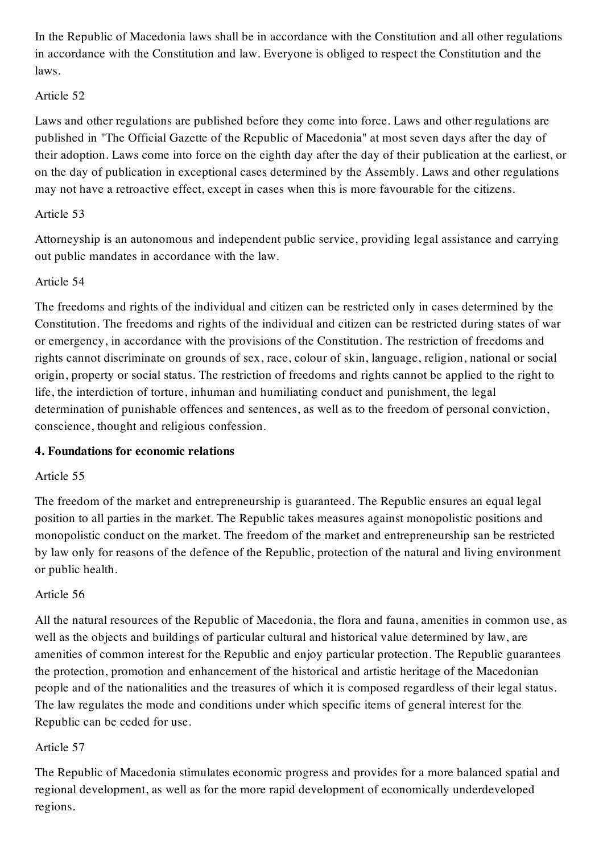In the Republic of Macedonia laws shall be in accordance with the Constitution and all other regulations in accordance with the Constitution and law. Everyone is obliged to respect the Constitution and the laws.

## Article 52

Laws and other regulations are published before they come into force. Laws and other regulations are published in "The Official Gazette of the Republic of Macedonia" at most seven days after the day of their adoption. Laws come into force on the eighth day after the day of their publication at the earliest, or on the day of publication in exceptional cases determined by the Assembly. Laws and other regulations may not have a retroactive effect, except in cases when this is more favourable for the citizens.

## Article 53

Attorneyship is an autonomous and independent public service, providing legal assistance and carrying out public mandates in accordance with the law.

## Article 54

The freedoms and rights of the individual and citizen can be restricted only in cases determined by the Constitution. The freedoms and rights of the individual and citizen can be restricted during states of war or emergency, in accordance with the provisions of the Constitution. The restriction of freedoms and rights cannot discriminate on grounds of sex, race, colour of skin, language, religion, national or social origin, property or social status. The restriction of freedoms and rights cannot be applied to the right to life, the interdiction of torture, inhuman and humiliating conduct and punishment, the legal determination of punishable offences and sentences, as well as to the freedom of personal conviction, conscience, thought and religious confession.

## **4. Foundations for economic relations**

## Article 55

The freedom of the market and entrepreneurship is guaranteed. The Republic ensures an equal legal position to all parties in the market. The Republic takes measures against monopolistic positions and monopolistic conduct on the market. The freedom of the market and entrepreneurship san be restricted by law only for reasons of the defence of the Republic, protection of the natural and living environment or public health.

## Article 56

All the natural resources of the Republic of Macedonia, the flora and fauna, amenities in common use, as well as the objects and buildings of particular cultural and historical value determined by law, are amenities of common interest for the Republic and enjoy particular protection. The Republic guarantees the protection, promotion and enhancement of the historical and artistic heritage of the Macedonian people and of the nationalities and the treasures of which it is composed regardless of their legal status. The law regulates the mode and conditions under which specific items of general interest for the Republic can be ceded for use.

## Article 57

The Republic of Macedonia stimulates economic progress and provides for a more balanced spatial and regional development, as well as for the more rapid development of economically underdeveloped regions.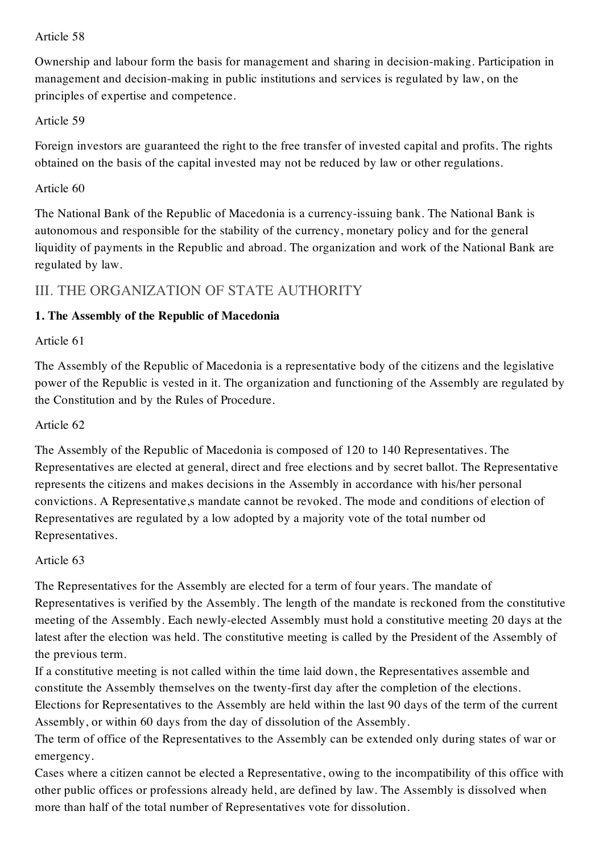Ownership and labour form the basis for management and sharing in decision-making. Participation in management and decision-making in public institutions and services is regulated by law, on the principles of expertise and competence.

### Article 59

Foreign investors are guaranteed the right to the free transfer of invested capital and profits. The rights obtained on the basis of the capital invested may not be reduced by law or other regulations.

### Article 60

The National Bank of the Republic of Macedonia is a currency-issuing bank. The National Bank is autonomous and responsible for the stability of the currency, monetary policy and for the general liquidity of payments in the Republic and abroad. The organization and work of the National Bank are regulated by law.

# III. THE ORGANIZATION OF STATE AUTHORITY

## **1. The Assembly of the Republic of Macedonia**

## Article 61

The Assembly of the Republic of Macedonia is a representative body of the citizens and the legislative power of the Republic is vested in it. The organization and functioning of the Assembly are regulated by the Constitution and by the Rules of Procedure.

#### Article 62

The Assembly of the Republic of Macedonia is composed of 120 to 140 Representatives. The Representatives are elected at general, direct and free elections and by secret ballot. The Representative represents the citizens and makes decisions in the Assembly in accordance with his/her personal convictions. A Representative,s mandate cannot be revoked. The mode and conditions of election of Representatives are regulated by a low adopted by a majority vote of the total number od Representatives.

#### Article 63

The Representatives for the Assembly are elected for a term of four years. The mandate of Representatives is verified by the Assembly. The length of the mandate is reckoned from the constitutive meeting of the Assembly. Each newly-elected Assembly must hold a constitutive meeting 20 days at the latest after the election was held. The constitutive meeting is called by the President of the Assembly of the previous term.

If a constitutive meeting is not called within the time laid down, the Representatives assemble and constitute the Assembly themselves on the twenty-first day after the completion of the elections.

Elections for Representatives to the Assembly are held within the last 90 days of the term of the current Assembly, or within 60 days from the day of dissolution of the Assembly.

The term of office of the Representatives to the Assembly can be extended only during states of war or emergency.

Cases where a citizen cannot be elected a Representative, owing to the incompatibility of this office with other public offices or professions already held, are defined by law. The Assembly is dissolved when more than half of the total number of Representatives vote for dissolution.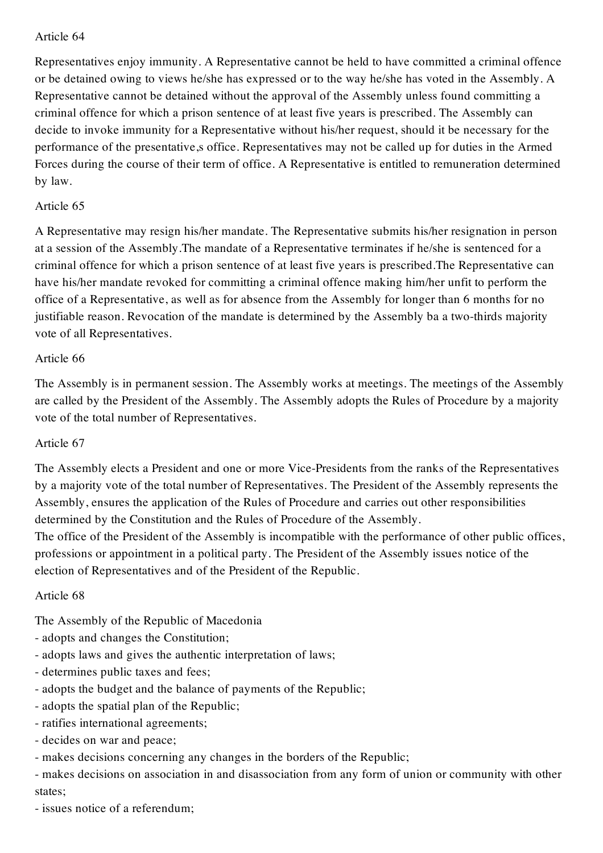Representatives enjoy immunity. A Representative cannot be held to have committed a criminal offence or be detained owing to views he/she has expressed or to the way he/she has voted in the Assembly. A Representative cannot be detained without the approval of the Assembly unless found committing a criminal offence for which a prison sentence of at least five years is prescribed. The Assembly can decide to invoke immunity for a Representative without his/her request, should it be necessary for the performance of the presentative,s office. Representatives may not be called up for duties in the Armed Forces during the course of their term of office. A Representative is entitled to remuneration determined by law.

## Article 65

A Representative may resign his/her mandate. The Representative submits his/her resignation in person at a session of the Assembly.The mandate of a Representative terminates if he/she is sentenced for a criminal offence for which a prison sentence of at least five years is prescribed.The Representative can have his/her mandate revoked for committing a criminal offence making him/her unfit to perform the office of a Representative, as well as for absence from the Assembly for longer than 6 months for no justifiable reason. Revocation of the mandate is determined by the Assembly ba a two-thirds majority vote of all Representatives.

## Article 66

The Assembly is in permanent session. The Assembly works at meetings. The meetings of the Assembly are called by the President of the Assembly. The Assembly adopts the Rules of Procedure by a majority vote of the total number of Representatives.

## Article 67

The Assembly elects a President and one or more Vice-Presidents from the ranks of the Representatives by a majority vote of the total number of Representatives. The President of the Assembly represents the Assembly, ensures the application of the Rules of Procedure and carries out other responsibilities determined by the Constitution and the Rules of Procedure of the Assembly.

The office of the President of the Assembly is incompatible with the performance of other public offices, professions or appointment in a political party. The President of the Assembly issues notice of the election of Representatives and of the President of the Republic.

## Article 68

The Assembly of the Republic of Macedonia

- adopts and changes the Constitution;
- adopts laws and gives the authentic interpretation of laws;
- determines public taxes and fees;
- adopts the budget and the balance of payments of the Republic;
- adopts the spatial plan of the Republic;
- ratifies international agreements;
- decides on war and peace;
- makes decisions concerning any changes in the borders of the Republic;
- makes decisions on association in and disassociation from any form of union or community with other states;
- issues notice of a referendum;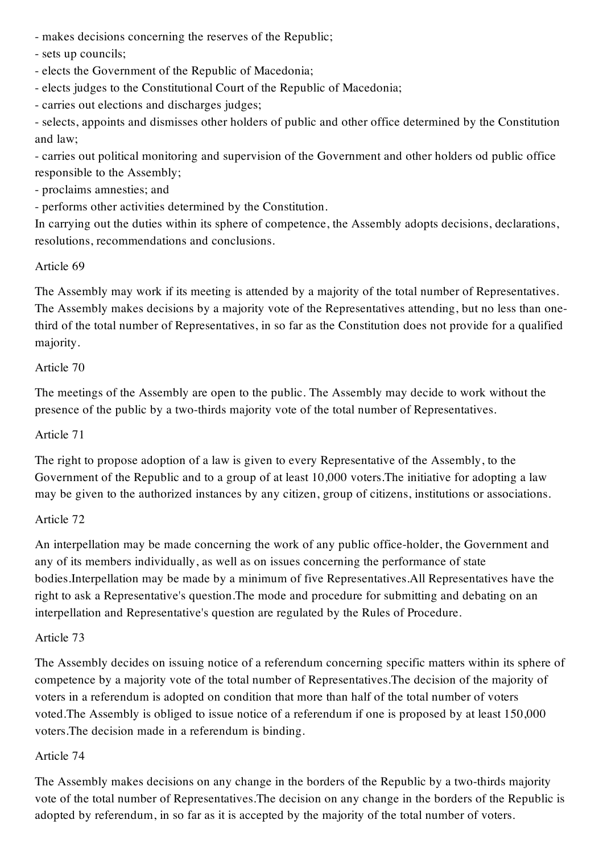- makes decisions concerning the reserves of the Republic;
- sets up councils;
- elects the Government of the Republic of Macedonia;
- elects judges to the Constitutional Court of the Republic of Macedonia;
- carries out elections and discharges judges;

- selects, appoints and dismisses other holders of public and other office determined by the Constitution and law;

- carries out political monitoring and supervision of the Government and other holders od public office responsible to the Assembly;

- proclaims amnesties; and

- performs other activities determined by the Constitution.

In carrying out the duties within its sphere of competence, the Assembly adopts decisions, declarations, resolutions, recommendations and conclusions.

## Article 69

The Assembly may work if its meeting is attended by a majority of the total number of Representatives. The Assembly makes decisions by a majority vote of the Representatives attending, but no less than onethird of the total number of Representatives, in so far as the Constitution does not provide for a qualified majority.

## Article 70

The meetings of the Assembly are open to the public. The Assembly may decide to work without the presence of the public by a two-thirds majority vote of the total number of Representatives.

#### Article 71

The right to propose adoption of a law is given to every Representative of the Assembly, to the Government of the Republic and to a group of at least 10,000 voters.The initiative for adopting a law may be given to the authorized instances by any citizen, group of citizens, institutions or associations.

## Article 72

An interpellation may be made concerning the work of any public office-holder, the Government and any of its members individually, as well as on issues concerning the performance of state bodies.Interpellation may be made by a minimum of five Representatives.All Representatives have the right to ask a Representative's question.The mode and procedure for submitting and debating on an interpellation and Representative's question are regulated by the Rules of Procedure.

## Article 73

The Assembly decides on issuing notice of a referendum concerning specific matters within its sphere of competence by a majority vote of the total number of Representatives.The decision of the majority of voters in a referendum is adopted on condition that more than half of the total number of voters voted.The Assembly is obliged to issue notice of a referendum if one is proposed by at least 150,000 voters.The decision made in a referendum is binding.

#### Article 74

The Assembly makes decisions on any change in the borders of the Republic by a two-thirds majority vote of the total number of Representatives.The decision on any change in the borders of the Republic is adopted by referendum, in so far as it is accepted by the majority of the total number of voters.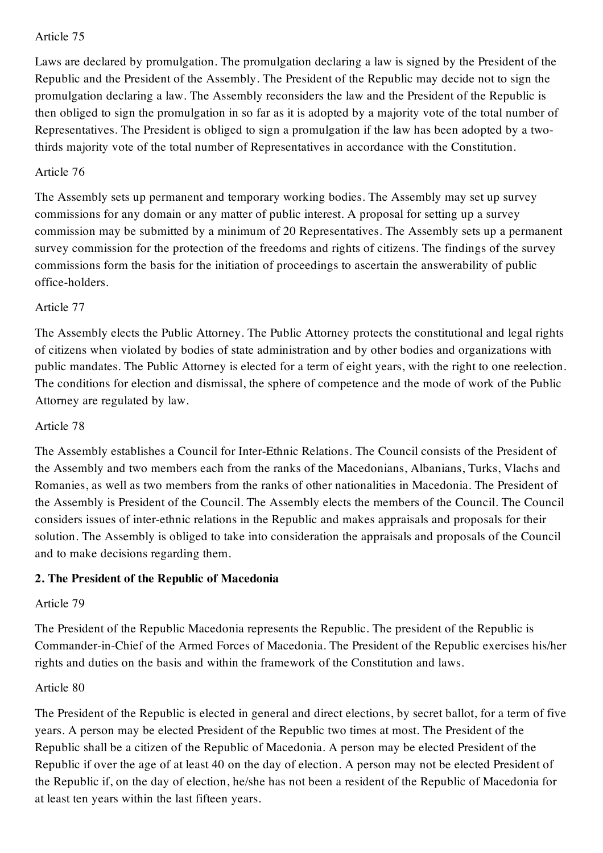Laws are declared by promulgation. The promulgation declaring a law is signed by the President of the Republic and the President of the Assembly. The President of the Republic may decide not to sign the promulgation declaring a law. The Assembly reconsiders the law and the President of the Republic is then obliged to sign the promulgation in so far as it is adopted by a majority vote of the total number of Representatives. The President is obliged to sign a promulgation if the law has been adopted by a twothirds majority vote of the total number of Representatives in accordance with the Constitution.

### Article 76

The Assembly sets up permanent and temporary working bodies. The Assembly may set up survey commissions for any domain or any matter of public interest. A proposal for setting up a survey commission may be submitted by a minimum of 20 Representatives. The Assembly sets up a permanent survey commission for the protection of the freedoms and rights of citizens. The findings of the survey commissions form the basis for the initiation of proceedings to ascertain the answerability of public office-holders.

### Article 77

The Assembly elects the Public Attorney. The Public Attorney protects the constitutional and legal rights of citizens when violated by bodies of state administration and by other bodies and organizations with public mandates. The Public Attorney is elected for a term of eight years, with the right to one reelection. The conditions for election and dismissal, the sphere of competence and the mode of work of the Public Attorney are regulated by law.

#### Article 78

The Assembly establishes a Council for Inter-Ethnic Relations. The Council consists of the President of the Assembly and two members each from the ranks of the Macedonians, Albanians, Turks, Vlachs and Romanies, as well as two members from the ranks of other nationalities in Macedonia. The President of the Assembly is President of the Council. The Assembly elects the members of the Council. The Council considers issues of inter-ethnic relations in the Republic and makes appraisals and proposals for their solution. The Assembly is obliged to take into consideration the appraisals and proposals of the Council and to make decisions regarding them.

## **2. The President of the Republic of Macedonia**

#### Article 79

The President of the Republic Macedonia represents the Republic. The president of the Republic is Commander-in-Chief of the Armed Forces of Macedonia. The President of the Republic exercises his/her rights and duties on the basis and within the framework of the Constitution and laws.

#### Article 80

The President of the Republic is elected in general and direct elections, by secret ballot, for a term of five years. A person may be elected President of the Republic two times at most. The President of the Republic shall be a citizen of the Republic of Macedonia. A person may be elected President of the Republic if over the age of at least 40 on the day of election. A person may not be elected President of the Republic if, on the day of election, he/she has not been a resident of the Republic of Macedonia for at least ten years within the last fifteen years.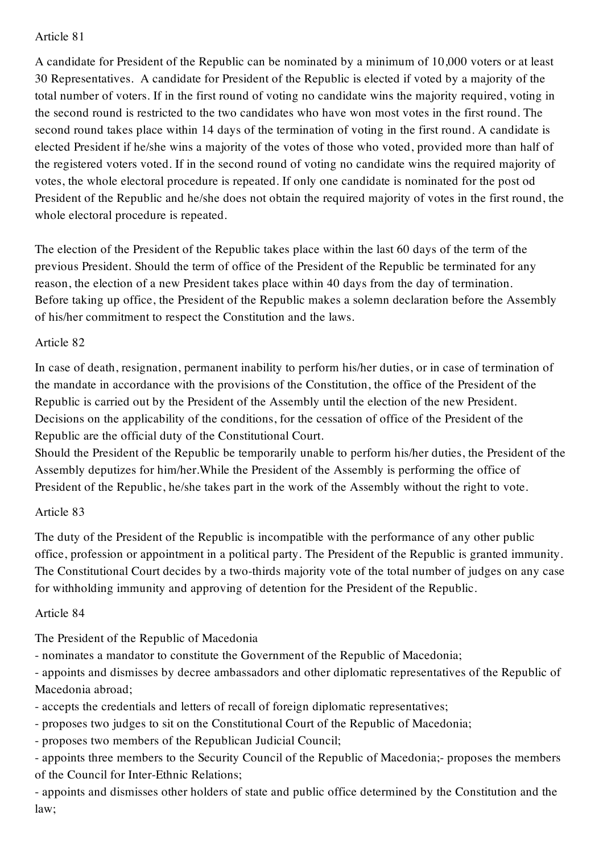A candidate for President of the Republic can be nominated by a minimum of 10,000 voters or at least 30 Representatives. A candidate for President of the Republic is elected if voted by a majority of the total number of voters. If in the first round of voting no candidate wins the majority required, voting in the second round is restricted to the two candidates who have won most votes in the first round. The second round takes place within 14 days of the termination of voting in the first round. A candidate is elected President if he/she wins a majority of the votes of those who voted, provided more than half of the registered voters voted. If in the second round of voting no candidate wins the required majority of votes, the whole electoral procedure is repeated. If only one candidate is nominated for the post od President of the Republic and he/she does not obtain the required majority of votes in the first round, the whole electoral procedure is repeated.

The election of the President of the Republic takes place within the last 60 days of the term of the previous President. Should the term of office of the President of the Republic be terminated for any reason, the election of a new President takes place within 40 days from the day of termination. Before taking up office, the President of the Republic makes a solemn declaration before the Assembly of his/her commitment to respect the Constitution and the laws.

## Article 82

In case of death, resignation, permanent inability to perform his/her duties, or in case of termination of the mandate in accordance with the provisions of the Constitution, the office of the President of the Republic is carried out by the President of the Assembly until the election of the new President. Decisions on the applicability of the conditions, for the cessation of office of the President of the Republic are the official duty of the Constitutional Court.

Should the President of the Republic be temporarily unable to perform his/her duties, the President of the Assembly deputizes for him/her.While the President of the Assembly is performing the office of President of the Republic, he/she takes part in the work of the Assembly without the right to vote.

## Article 83

The duty of the President of the Republic is incompatible with the performance of any other public office, profession or appointment in a political party. The President of the Republic is granted immunity. The Constitutional Court decides by a two-thirds majority vote of the total number of judges on any case for withholding immunity and approving of detention for the President of the Republic.

## Article 84

The President of the Republic of Macedonia

- nominates a mandator to constitute the Government of the Republic of Macedonia;

- appoints and dismisses by decree ambassadors and other diplomatic representatives of the Republic of Macedonia abroad;

- accepts the credentials and letters of recall of foreign diplomatic representatives;

- proposes two judges to sit on the Constitutional Court of the Republic of Macedonia;

- proposes two members of the Republican Judicial Council;

- appoints three members to the Security Council of the Republic of Macedonia;- proposes the members of the Council for Inter-Ethnic Relations;

- appoints and dismisses other holders of state and public office determined by the Constitution and the law;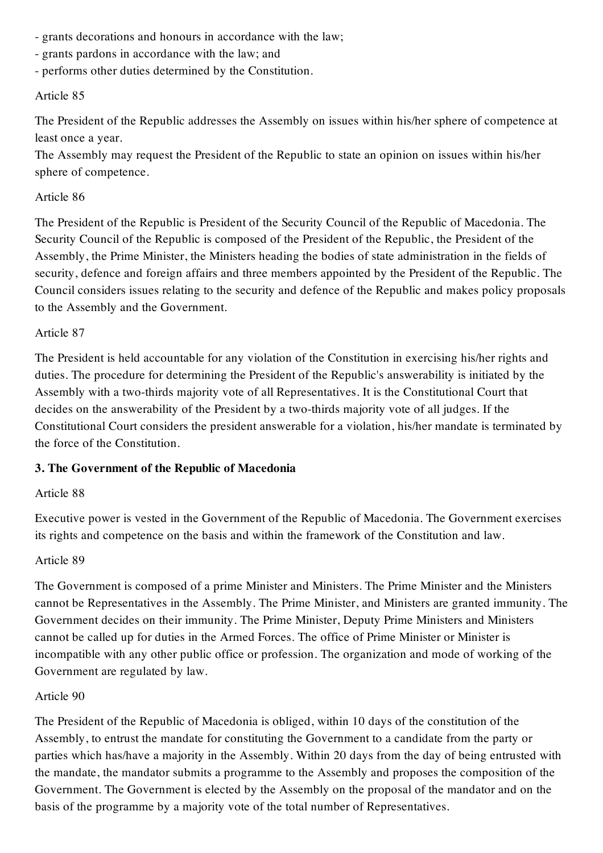- grants decorations and honours in accordance with the law;
- grants pardons in accordance with the law; and
- performs other duties determined by the Constitution.

The President of the Republic addresses the Assembly on issues within his/her sphere of competence at least once a year.

The Assembly may request the President of the Republic to state an opinion on issues within his/her sphere of competence.

#### Article 86

The President of the Republic is President of the Security Council of the Republic of Macedonia. The Security Council of the Republic is composed of the President of the Republic, the President of the Assembly, the Prime Minister, the Ministers heading the bodies of state administration in the fields of security, defence and foreign affairs and three members appointed by the President of the Republic. The Council considers issues relating to the security and defence of the Republic and makes policy proposals to the Assembly and the Government.

#### Article 87

The President is held accountable for any violation of the Constitution in exercising his/her rights and duties. The procedure for determining the President of the Republic's answerability is initiated by the Assembly with a two-thirds majority vote of all Representatives. It is the Constitutional Court that decides on the answerability of the President by a two-thirds majority vote of all judges. If the Constitutional Court considers the president answerable for a violation, his/her mandate is terminated by the force of the Constitution.

#### **3. The Government of the Republic of Macedonia**

#### Article 88

Executive power is vested in the Government of the Republic of Macedonia. The Government exercises its rights and competence on the basis and within the framework of the Constitution and law.

#### Article 89

The Government is composed of a prime Minister and Ministers. The Prime Minister and the Ministers cannot be Representatives in the Assembly. The Prime Minister, and Ministers are granted immunity. The Government decides on their immunity. The Prime Minister, Deputy Prime Ministers and Ministers cannot be called up for duties in the Armed Forces. The office of Prime Minister or Minister is incompatible with any other public office or profession. The organization and mode of working of the Government are regulated by law.

#### Article 90

The President of the Republic of Macedonia is obliged, within 10 days of the constitution of the Assembly, to entrust the mandate for constituting the Government to a candidate from the party or parties which has/have a majority in the Assembly. Within 20 days from the day of being entrusted with the mandate, the mandator submits a programme to the Assembly and proposes the composition of the Government. The Government is elected by the Assembly on the proposal of the mandator and on the basis of the programme by a majority vote of the total number of Representatives.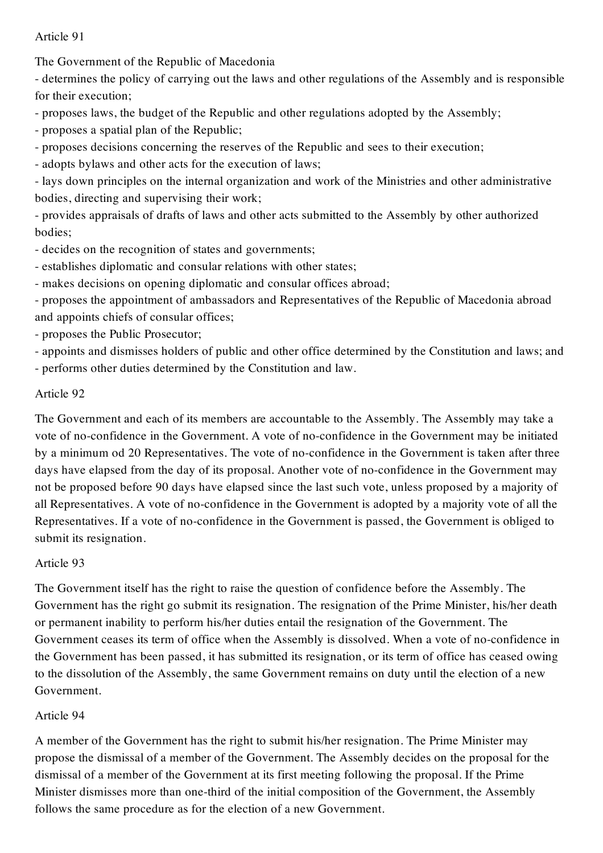The Government of the Republic of Macedonia

- determines the policy of carrying out the laws and other regulations of the Assembly and is responsible for their execution;

- proposes laws, the budget of the Republic and other regulations adopted by the Assembly;

- proposes a spatial plan of the Republic;

- proposes decisions concerning the reserves of the Republic and sees to their execution;

- adopts bylaws and other acts for the execution of laws;

- lays down principles on the internal organization and work of the Ministries and other administrative bodies, directing and supervising their work;

- provides appraisals of drafts of laws and other acts submitted to the Assembly by other authorized bodies;

- decides on the recognition of states and governments;

- establishes diplomatic and consular relations with other states;

- makes decisions on opening diplomatic and consular offices abroad;

- proposes the appointment of ambassadors and Representatives of the Republic of Macedonia abroad and appoints chiefs of consular offices;

- proposes the Public Prosecutor;

- appoints and dismisses holders of public and other office determined by the Constitution and laws; and

- performs other duties determined by the Constitution and law.

## Article 92

The Government and each of its members are accountable to the Assembly. The Assembly may take a vote of no-confidence in the Government. A vote of no-confidence in the Government may be initiated by a minimum od 20 Representatives. The vote of no-confidence in the Government is taken after three days have elapsed from the day of its proposal. Another vote of no-confidence in the Government may not be proposed before 90 days have elapsed since the last such vote, unless proposed by a majority of all Representatives. A vote of no-confidence in the Government is adopted by a majority vote of all the Representatives. If a vote of no-confidence in the Government is passed, the Government is obliged to submit its resignation.

## Article 93

The Government itself has the right to raise the question of confidence before the Assembly. The Government has the right go submit its resignation. The resignation of the Prime Minister, his/her death or permanent inability to perform his/her duties entail the resignation of the Government. The Government ceases its term of office when the Assembly is dissolved. When a vote of no-confidence in the Government has been passed, it has submitted its resignation, or its term of office has ceased owing to the dissolution of the Assembly, the same Government remains on duty until the election of a new Government.

## Article 94

A member of the Government has the right to submit his/her resignation. The Prime Minister may propose the dismissal of a member of the Government. The Assembly decides on the proposal for the dismissal of a member of the Government at its first meeting following the proposal. If the Prime Minister dismisses more than one-third of the initial composition of the Government, the Assembly follows the same procedure as for the election of a new Government.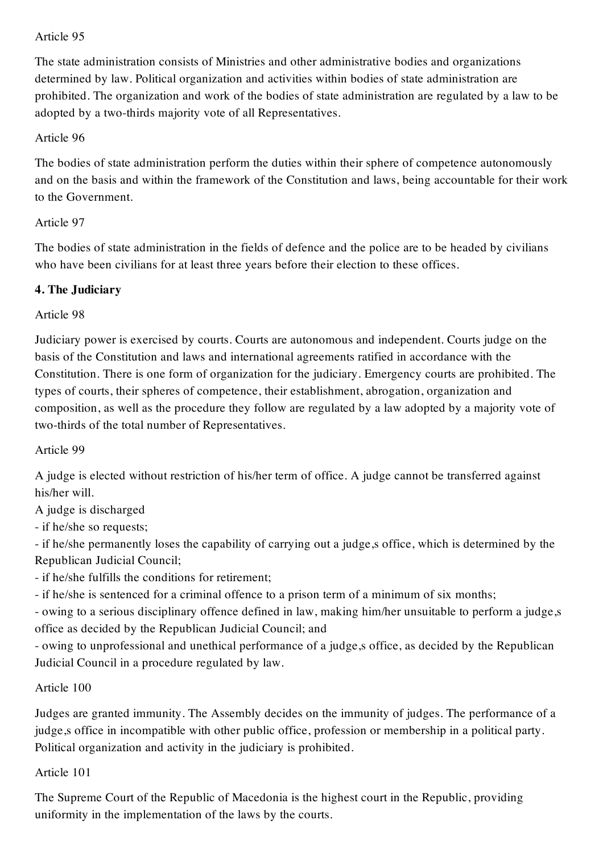The state administration consists of Ministries and other administrative bodies and organizations determined by law. Political organization and activities within bodies of state administration are prohibited. The organization and work of the bodies of state administration are regulated by a law to be adopted by a two-thirds majority vote of all Representatives.

## Article 96

The bodies of state administration perform the duties within their sphere of competence autonomously and on the basis and within the framework of the Constitution and laws, being accountable for their work to the Government.

## Article 97

The bodies of state administration in the fields of defence and the police are to be headed by civilians who have been civilians for at least three years before their election to these offices.

## **4. The Judiciary**

Article 98

Judiciary power is exercised by courts. Courts are autonomous and independent. Courts judge on the basis of the Constitution and laws and international agreements ratified in accordance with the Constitution. There is one form of organization for the judiciary. Emergency courts are prohibited. The types of courts, their spheres of competence, their establishment, abrogation, organization and composition, as well as the procedure they follow are regulated by a law adopted by a majority vote of two-thirds of the total number of Representatives.

## Article 99

A judge is elected without restriction of his/her term of office. A judge cannot be transferred against his/her will.

A judge is discharged

- if he/she so requests;

- if he/she permanently loses the capability of carrying out a judge,s office, which is determined by the Republican Judicial Council;

- if he/she fulfills the conditions for retirement;

- if he/she is sentenced for a criminal offence to a prison term of a minimum of six months;

- owing to a serious disciplinary offence defined in law, making him/her unsuitable to perform a judge,s office as decided by the Republican Judicial Council; and

- owing to unprofessional and unethical performance of a judge,s office, as decided by the Republican Judicial Council in a procedure regulated by law.

## Article 100

Judges are granted immunity. The Assembly decides on the immunity of judges. The performance of a judge,s office in incompatible with other public office, profession or membership in a political party. Political organization and activity in the judiciary is prohibited.

## Article 101

The Supreme Court of the Republic of Macedonia is the highest court in the Republic, providing uniformity in the implementation of the laws by the courts.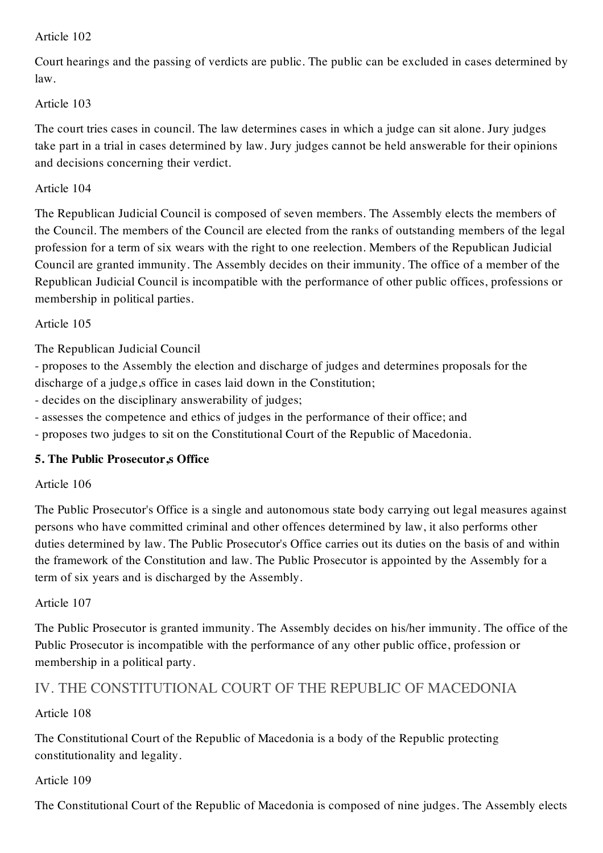Court hearings and the passing of verdicts are public. The public can be excluded in cases determined by law.

### Article 103

The court tries cases in council. The law determines cases in which a judge can sit alone. Jury judges take part in a trial in cases determined by law. Jury judges cannot be held answerable for their opinions and decisions concerning their verdict.

### Article 104

The Republican Judicial Council is composed of seven members. The Assembly elects the members of the Council. The members of the Council are elected from the ranks of outstanding members of the legal profession for a term of six wears with the right to one reelection. Members of the Republican Judicial Council are granted immunity. The Assembly decides on their immunity. The office of a member of the Republican Judicial Council is incompatible with the performance of other public offices, professions or membership in political parties.

## Article 105

The Republican Judicial Council

- proposes to the Assembly the election and discharge of judges and determines proposals for the discharge of a judge,s office in cases laid down in the Constitution;

- decides on the disciplinary answerability of judges;

- assesses the competence and ethics of judges in the performance of their office; and

- proposes two judges to sit on the Constitutional Court of the Republic of Macedonia.

## **5. The Public Prosecutor,s Office**

#### Article 106

The Public Prosecutor's Office is a single and autonomous state body carrying out legal measures against persons who have committed criminal and other offences determined by law, it also performs other duties determined by law. The Public Prosecutor's Office carries out its duties on the basis of and within the framework of the Constitution and law. The Public Prosecutor is appointed by the Assembly for a term of six years and is discharged by the Assembly.

#### Article 107

The Public Prosecutor is granted immunity. The Assembly decides on his/her immunity. The office of the Public Prosecutor is incompatible with the performance of any other public office, profession or membership in a political party.

## IV. THE CONSTITUTIONAL COURT OF THE REPUBLIC OF MACEDONIA

## Article 108

The Constitutional Court of the Republic of Macedonia is a body of the Republic protecting constitutionality and legality.

#### Article 109

The Constitutional Court of the Republic of Macedonia is composed of nine judges. The Assembly elects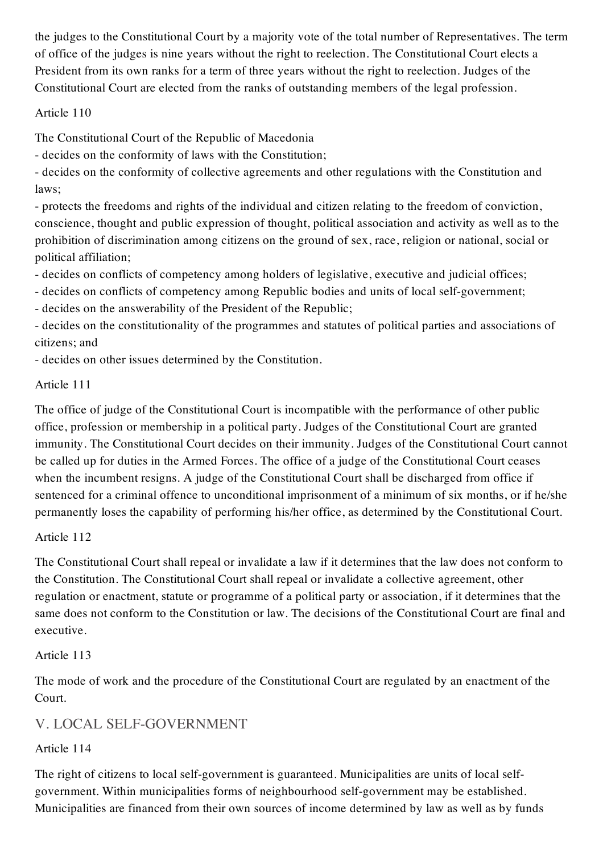the judges to the Constitutional Court by a majority vote of the total number of Representatives. The term of office of the judges is nine years without the right to reelection. The Constitutional Court elects a President from its own ranks for a term of three years without the right to reelection. Judges of the Constitutional Court are elected from the ranks of outstanding members of the legal profession.

## Article 110

The Constitutional Court of the Republic of Macedonia

- decides on the conformity of laws with the Constitution;

- decides on the conformity of collective agreements and other regulations with the Constitution and laws;

- protects the freedoms and rights of the individual and citizen relating to the freedom of conviction, conscience, thought and public expression of thought, political association and activity as well as to the prohibition of discrimination among citizens on the ground of sex, race, religion or national, social or political affiliation;

- decides on conflicts of competency among holders of legislative, executive and judicial offices;

- decides on conflicts of competency among Republic bodies and units of local self-government;

- decides on the answerability of the President of the Republic;

- decides on the constitutionality of the programmes and statutes of political parties and associations of citizens; and

- decides on other issues determined by the Constitution.

## Article 111

The office of judge of the Constitutional Court is incompatible with the performance of other public office, profession or membership in a political party. Judges of the Constitutional Court are granted immunity. The Constitutional Court decides on their immunity. Judges of the Constitutional Court cannot be called up for duties in the Armed Forces. The office of a judge of the Constitutional Court ceases when the incumbent resigns. A judge of the Constitutional Court shall be discharged from office if sentenced for a criminal offence to unconditional imprisonment of a minimum of six months, or if he/she permanently loses the capability of performing his/her office, as determined by the Constitutional Court.

## Article 112

The Constitutional Court shall repeal or invalidate a law if it determines that the law does not conform to the Constitution. The Constitutional Court shall repeal or invalidate a collective agreement, other regulation or enactment, statute or programme of a political party or association, if it determines that the same does not conform to the Constitution or law. The decisions of the Constitutional Court are final and executive.

# Article 113

The mode of work and the procedure of the Constitutional Court are regulated by an enactment of the Court.

# V. LOCAL SELF-GOVERNMENT

# Article 114

The right of citizens to local self-government is guaranteed. Municipalities are units of local selfgovernment. Within municipalities forms of neighbourhood self-government may be established. Municipalities are financed from their own sources of income determined by law as well as by funds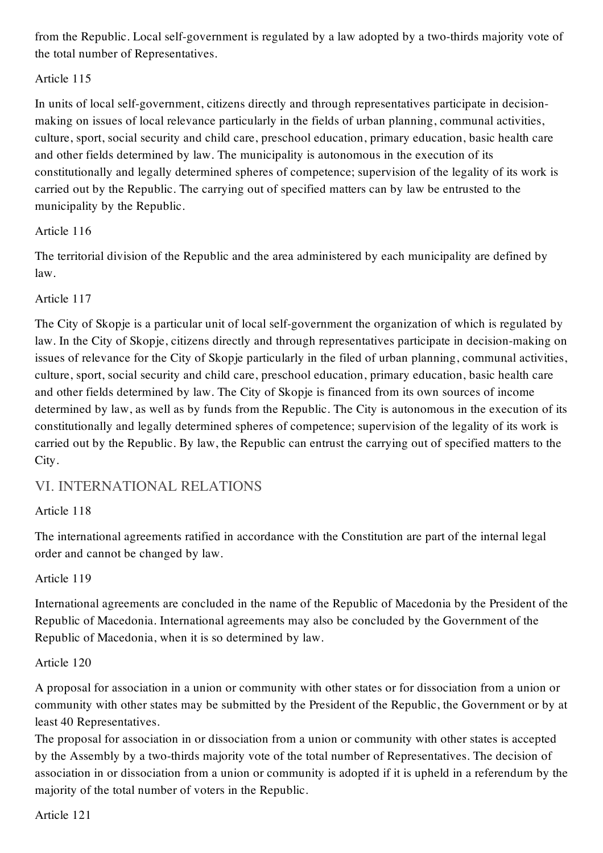from the Republic. Local self-government is regulated by a law adopted by a two-thirds majority vote of the total number of Representatives.

## Article 115

In units of local self-government, citizens directly and through representatives participate in decisionmaking on issues of local relevance particularly in the fields of urban planning, communal activities, culture, sport, social security and child care, preschool education, primary education, basic health care and other fields determined by law. The municipality is autonomous in the execution of its constitutionally and legally determined spheres of competence; supervision of the legality of its work is carried out by the Republic. The carrying out of specified matters can by law be entrusted to the municipality by the Republic.

### Article 116

The territorial division of the Republic and the area administered by each municipality are defined by law.

### Article 117

The City of Skopje is a particular unit of local self-government the organization of which is regulated by law. In the City of Skopje, citizens directly and through representatives participate in decision-making on issues of relevance for the City of Skopje particularly in the filed of urban planning, communal activities, culture, sport, social security and child care, preschool education, primary education, basic health care and other fields determined by law. The City of Skopje is financed from its own sources of income determined by law, as well as by funds from the Republic. The City is autonomous in the execution of its constitutionally and legally determined spheres of competence; supervision of the legality of its work is carried out by the Republic. By law, the Republic can entrust the carrying out of specified matters to the City.

## VI. INTERNATIONAL RELATIONS

Article 118

The international agreements ratified in accordance with the Constitution are part of the internal legal order and cannot be changed by law.

#### Article 119

International agreements are concluded in the name of the Republic of Macedonia by the President of the Republic of Macedonia. International agreements may also be concluded by the Government of the Republic of Macedonia, when it is so determined by law.

Article 120

A proposal for association in a union or community with other states or for dissociation from a union or community with other states may be submitted by the President of the Republic, the Government or by at least 40 Representatives.

The proposal for association in or dissociation from a union or community with other states is accepted by the Assembly by a two-thirds majority vote of the total number of Representatives. The decision of association in or dissociation from a union or community is adopted if it is upheld in a referendum by the majority of the total number of voters in the Republic.

Article 121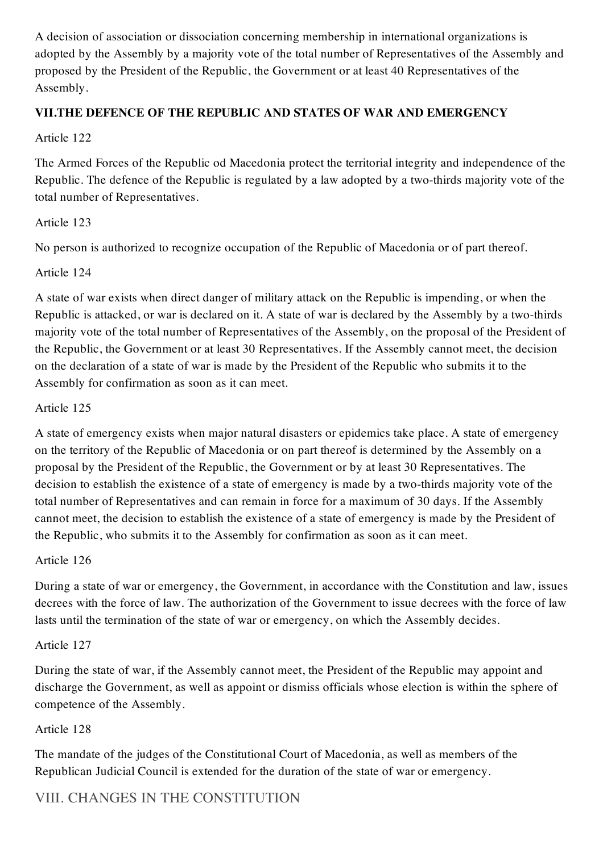A decision of association or dissociation concerning membership in international organizations is adopted by the Assembly by a majority vote of the total number of Representatives of the Assembly and proposed by the President of the Republic, the Government or at least 40 Representatives of the Assembly.

## **VII.THE DEFENCE OF THE REPUBLIC AND STATES OF WAR AND EMERGENCY**

Article 122

The Armed Forces of the Republic od Macedonia protect the territorial integrity and independence of the Republic. The defence of the Republic is regulated by a law adopted by a two-thirds majority vote of the total number of Representatives.

## Article 123

No person is authorized to recognize occupation of the Republic of Macedonia or of part thereof.

## Article 124

A state of war exists when direct danger of military attack on the Republic is impending, or when the Republic is attacked, or war is declared on it. A state of war is declared by the Assembly by a two-thirds majority vote of the total number of Representatives of the Assembly, on the proposal of the President of the Republic, the Government or at least 30 Representatives. If the Assembly cannot meet, the decision on the declaration of a state of war is made by the President of the Republic who submits it to the Assembly for confirmation as soon as it can meet.

## Article 125

A state of emergency exists when major natural disasters or epidemics take place. A state of emergency on the territory of the Republic of Macedonia or on part thereof is determined by the Assembly on a proposal by the President of the Republic, the Government or by at least 30 Representatives. The decision to establish the existence of a state of emergency is made by a two-thirds majority vote of the total number of Representatives and can remain in force for a maximum of 30 days. If the Assembly cannot meet, the decision to establish the existence of a state of emergency is made by the President of the Republic, who submits it to the Assembly for confirmation as soon as it can meet.

## Article 126

During a state of war or emergency, the Government, in accordance with the Constitution and law, issues decrees with the force of law. The authorization of the Government to issue decrees with the force of law lasts until the termination of the state of war or emergency, on which the Assembly decides.

## Article 127

During the state of war, if the Assembly cannot meet, the President of the Republic may appoint and discharge the Government, as well as appoint or dismiss officials whose election is within the sphere of competence of the Assembly.

## Article 128

The mandate of the judges of the Constitutional Court of Macedonia, as well as members of the Republican Judicial Council is extended for the duration of the state of war or emergency.

# VIII. CHANGES IN THE CONSTITUTION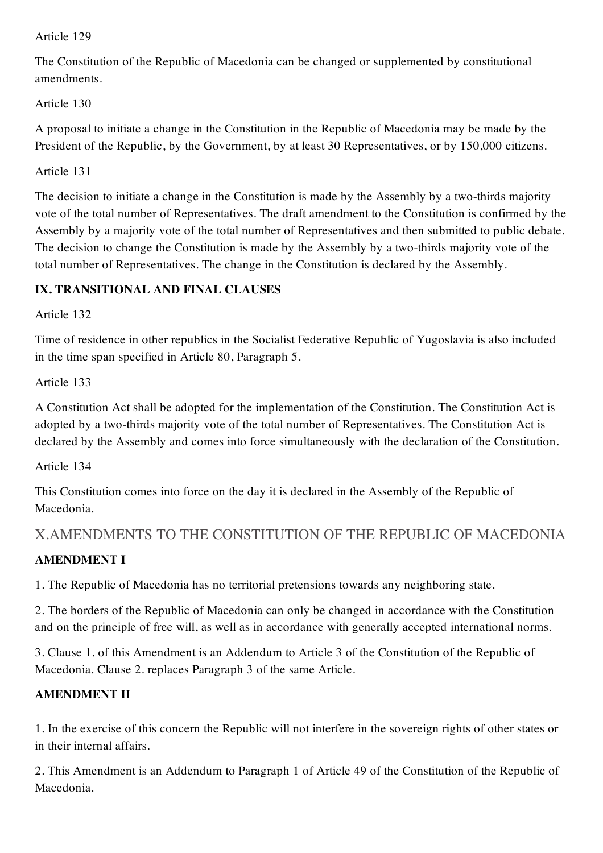The Constitution of the Republic of Macedonia can be changed or supplemented by constitutional amendments.

Article 130

A proposal to initiate a change in the Constitution in the Republic of Macedonia may be made by the President of the Republic, by the Government, by at least 30 Representatives, or by 150,000 citizens.

Article 131

The decision to initiate a change in the Constitution is made by the Assembly by a two-thirds majority vote of the total number of Representatives. The draft amendment to the Constitution is confirmed by the Assembly by a majority vote of the total number of Representatives and then submitted to public debate. The decision to change the Constitution is made by the Assembly by a two-thirds majority vote of the total number of Representatives. The change in the Constitution is declared by the Assembly.

## **IX. TRANSITIONAL AND FINAL CLAUSES**

Article 132

Time of residence in other republics in the Socialist Federative Republic of Yugoslavia is also included in the time span specified in Article 80, Paragraph 5.

Article 133

A Constitution Act shall be adopted for the implementation of the Constitution. The Constitution Act is adopted by a two-thirds majority vote of the total number of Representatives. The Constitution Act is declared by the Assembly and comes into force simultaneously with the declaration of the Constitution.

Article 134

This Constitution comes into force on the day it is declared in the Assembly of the Republic of Macedonia.

X.AMENDMENTS TO THE CONSTITUTION OF THE REPUBLIC OF MACEDONIA

## **AMENDMENT I**

1. The Republic of Macedonia has no territorial pretensions towards any neighboring state.

2. The borders of the Republic of Macedonia can only be changed in accordance with the Constitution and on the principle of free will, as well as in accordance with generally accepted international norms.

3. Clause 1. of this Amendment is an Addendum to Article 3 of the Constitution of the Republic of Macedonia. Clause 2. replaces Paragraph 3 of the same Article.

## **AMENDMENT II**

1. In the exercise of this concern the Republic will not interfere in the sovereign rights of other states or in their internal affairs.

2. This Amendment is an Addendum to Paragraph 1 of Article 49 of the Constitution of the Republic of Macedonia.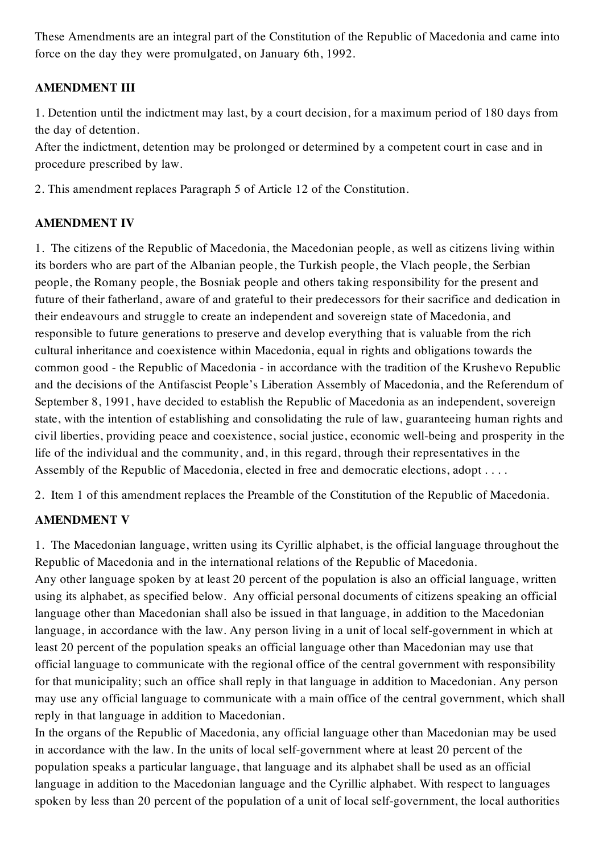These Amendments are an integral part of the Constitution of the Republic of Macedonia and came into force on the day they were promulgated, on January 6th, 1992.

## **AMENDMENT III**

1. Detention until the indictment may last, by a court decision, for a maximum period of 180 days from the day of detention.

After the indictment, detention may be prolonged or determined by a competent court in case and in procedure prescribed by law.

2. This amendment replaces Paragraph 5 of Article 12 of the Constitution.

## **AMENDMENT IV**

1. The citizens of the Republic of Macedonia, the Macedonian people, as well as citizens living within its borders who are part of the Albanian people, the Turkish people, the Vlach people, the Serbian people, the Romany people, the Bosniak people and others taking responsibility for the present and future of their fatherland, aware of and grateful to their predecessors for their sacrifice and dedication in their endeavours and struggle to create an independent and sovereign state of Macedonia, and responsible to future generations to preserve and develop everything that is valuable from the rich cultural inheritance and coexistence within Macedonia, equal in rights and obligations towards the common good - the Republic of Macedonia - in accordance with the tradition of the Krushevo Republic and the decisions of the Antifascist People's Liberation Assembly of Macedonia, and the Referendum of September 8, 1991, have decided to establish the Republic of Macedonia as an independent, sovereign state, with the intention of establishing and consolidating the rule of law, guaranteeing human rights and civil liberties, providing peace and coexistence, social justice, economic well-being and prosperity in the life of the individual and the community, and, in this regard, through their representatives in the Assembly of the Republic of Macedonia, elected in free and democratic elections, adopt . . . .

2. Item 1 of this amendment replaces the Preamble of the Constitution of the Republic of Macedonia.

## **AMENDMENT V**

1. The Macedonian language, written using its Cyrillic alphabet, is the official language throughout the Republic of Macedonia and in the international relations of the Republic of Macedonia.

Any other language spoken by at least 20 percent of the population is also an official language, written using its alphabet, as specified below. Any official personal documents of citizens speaking an official language other than Macedonian shall also be issued in that language, in addition to the Macedonian language, in accordance with the law. Any person living in a unit of local self-government in which at least 20 percent of the population speaks an official language other than Macedonian may use that official language to communicate with the regional office of the central government with responsibility for that municipality; such an office shall reply in that language in addition to Macedonian. Any person may use any official language to communicate with a main office of the central government, which shall reply in that language in addition to Macedonian.

In the organs of the Republic of Macedonia, any official language other than Macedonian may be used in accordance with the law. In the units of local self-government where at least 20 percent of the population speaks a particular language, that language and its alphabet shall be used as an official language in addition to the Macedonian language and the Cyrillic alphabet. With respect to languages spoken by less than 20 percent of the population of a unit of local self-government, the local authorities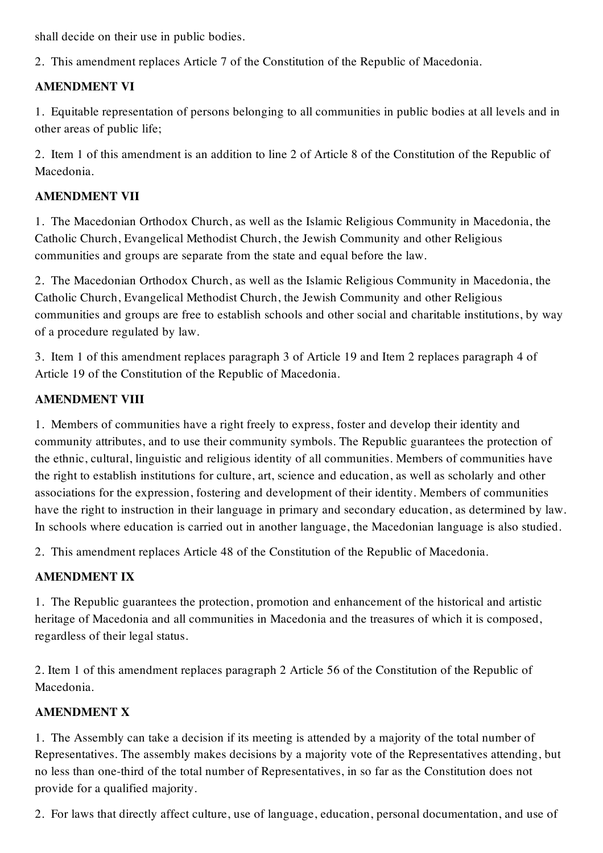shall decide on their use in public bodies.

2. This amendment replaces Article 7 of the Constitution of the Republic of Macedonia.

## **AMENDMENT VI**

1. Equitable representation of persons belonging to all communities in public bodies at all levels and in other areas of public life;

2. Item 1 of this amendment is an addition to line 2 of Article 8 of the Constitution of the Republic of Macedonia.

## **AMENDMENT VII**

1. The Macedonian Orthodox Church, as well as the Islamic Religious Community in Macedonia, the Catholic Church, Evangelical Methodist Church, the Jewish Community and other Religious communities and groups are separate from the state and equal before the law.

2. The Macedonian Orthodox Church, as well as the Islamic Religious Community in Macedonia, the Catholic Church, Evangelical Methodist Church, the Jewish Community and other Religious communities and groups are free to establish schools and other social and charitable institutions, by way of a procedure regulated by law.

3. Item 1 of this amendment replaces paragraph 3 of Article 19 and Item 2 replaces paragraph 4 of Article 19 of the Constitution of the Republic of Macedonia.

## **AMENDMENT VIII**

1. Members of communities have a right freely to express, foster and develop their identity and community attributes, and to use their community symbols. The Republic guarantees the protection of the ethnic, cultural, linguistic and religious identity of all communities. Members of communities have the right to establish institutions for culture, art, science and education, as well as scholarly and other associations for the expression, fostering and development of their identity. Members of communities have the right to instruction in their language in primary and secondary education, as determined by law. In schools where education is carried out in another language, the Macedonian language is also studied.

2. This amendment replaces Article 48 of the Constitution of the Republic of Macedonia.

## **AMENDMENT IX**

1. The Republic guarantees the protection, promotion and enhancement of the historical and artistic heritage of Macedonia and all communities in Macedonia and the treasures of which it is composed, regardless of their legal status.

2. Item 1 of this amendment replaces paragraph 2 Article 56 of the Constitution of the Republic of Macedonia.

## **AMENDMENT X**

1. The Assembly can take a decision if its meeting is attended by a majority of the total number of Representatives. The assembly makes decisions by a majority vote of the Representatives attending, but no less than one-third of the total number of Representatives, in so far as the Constitution does not provide for a qualified majority.

2. For laws that directly affect culture, use of language, education, personal documentation, and use of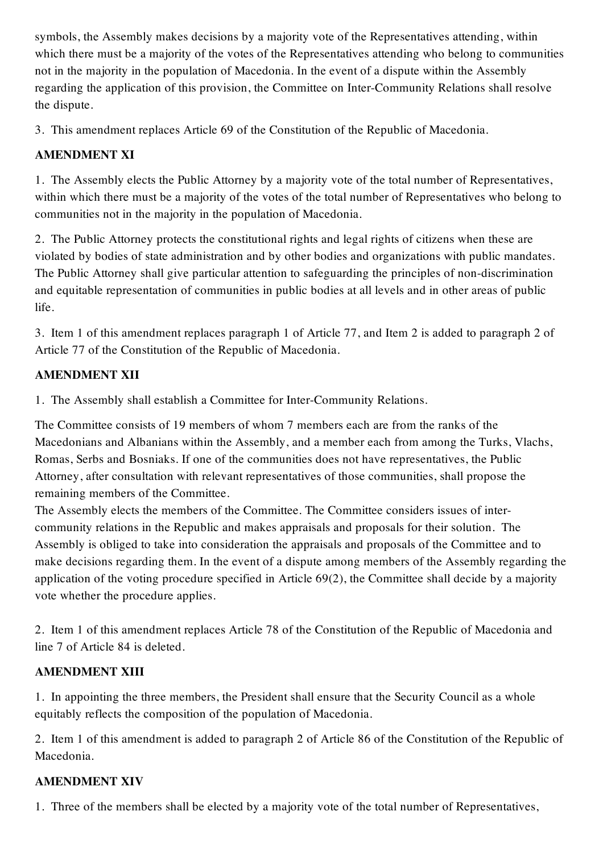symbols, the Assembly makes decisions by a majority vote of the Representatives attending, within which there must be a majority of the votes of the Representatives attending who belong to communities not in the majority in the population of Macedonia. In the event of a dispute within the Assembly regarding the application of this provision, the Committee on Inter-Community Relations shall resolve the dispute.

3. This amendment replaces Article 69 of the Constitution of the Republic of Macedonia.

## **AMENDMENT XI**

1. The Assembly elects the Public Attorney by a majority vote of the total number of Representatives, within which there must be a majority of the votes of the total number of Representatives who belong to communities not in the majority in the population of Macedonia.

2. The Public Attorney protects the constitutional rights and legal rights of citizens when these are violated by bodies of state administration and by other bodies and organizations with public mandates. The Public Attorney shall give particular attention to safeguarding the principles of non-discrimination and equitable representation of communities in public bodies at all levels and in other areas of public life.

3. Item 1 of this amendment replaces paragraph 1 of Article 77, and Item 2 is added to paragraph 2 of Article 77 of the Constitution of the Republic of Macedonia.

## **AMENDMENT XII**

1. The Assembly shall establish a Committee for Inter-Community Relations.

The Committee consists of 19 members of whom 7 members each are from the ranks of the Macedonians and Albanians within the Assembly, and a member each from among the Turks, Vlachs, Romas, Serbs and Bosniaks. If one of the communities does not have representatives, the Public Attorney, after consultation with relevant representatives of those communities, shall propose the remaining members of the Committee.

The Assembly elects the members of the Committee. The Committee considers issues of intercommunity relations in the Republic and makes appraisals and proposals for their solution. The Assembly is obliged to take into consideration the appraisals and proposals of the Committee and to make decisions regarding them. In the event of a dispute among members of the Assembly regarding the application of the voting procedure specified in Article 69(2), the Committee shall decide by a majority vote whether the procedure applies.

2. Item 1 of this amendment replaces Article 78 of the Constitution of the Republic of Macedonia and line 7 of Article 84 is deleted.

## **AMENDMENT XIII**

1. In appointing the three members, the President shall ensure that the Security Council as a whole equitably reflects the composition of the population of Macedonia.

2. Item 1 of this amendment is added to paragraph 2 of Article 86 of the Constitution of the Republic of Macedonia.

## **AMENDMENT XIV**

1. Three of the members shall be elected by a majority vote of the total number of Representatives,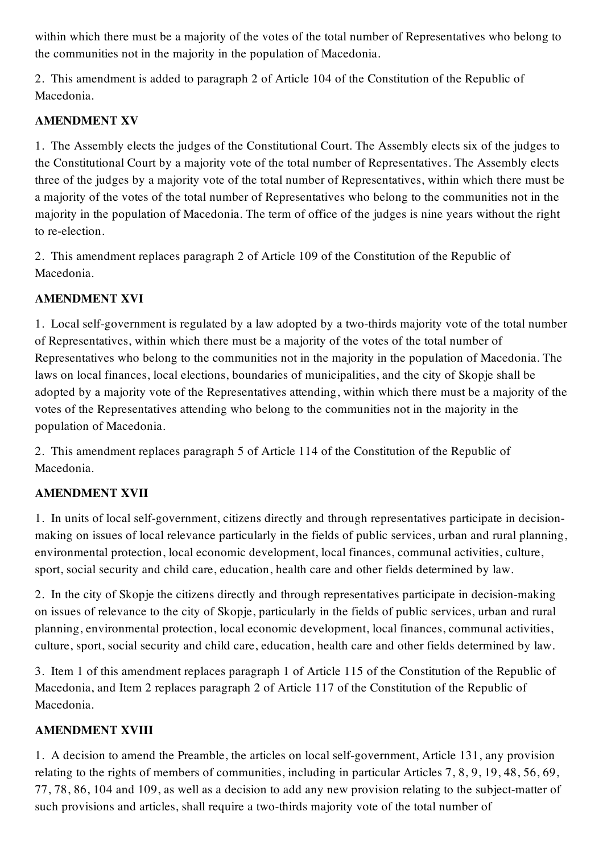within which there must be a majority of the votes of the total number of Representatives who belong to the communities not in the majority in the population of Macedonia.

2. This amendment is added to paragraph 2 of Article 104 of the Constitution of the Republic of Macedonia.

## **AMENDMENT XV**

1. The Assembly elects the judges of the Constitutional Court. The Assembly elects six of the judges to the Constitutional Court by a majority vote of the total number of Representatives. The Assembly elects three of the judges by a majority vote of the total number of Representatives, within which there must be a majority of the votes of the total number of Representatives who belong to the communities not in the majority in the population of Macedonia. The term of office of the judges is nine years without the right to re-election.

2. This amendment replaces paragraph 2 of Article 109 of the Constitution of the Republic of Macedonia.

## **AMENDMENT XVI**

1. Local self-government is regulated by a law adopted by a two-thirds majority vote of the total number of Representatives, within which there must be a majority of the votes of the total number of Representatives who belong to the communities not in the majority in the population of Macedonia. The laws on local finances, local elections, boundaries of municipalities, and the city of Skopje shall be adopted by a majority vote of the Representatives attending, within which there must be a majority of the votes of the Representatives attending who belong to the communities not in the majority in the population of Macedonia.

2. This amendment replaces paragraph 5 of Article 114 of the Constitution of the Republic of Macedonia.

# **AMENDMENT XVII**

1. In units of local self-government, citizens directly and through representatives participate in decisionmaking on issues of local relevance particularly in the fields of public services, urban and rural planning, environmental protection, local economic development, local finances, communal activities, culture, sport, social security and child care, education, health care and other fields determined by law.

2. In the city of Skopje the citizens directly and through representatives participate in decision-making on issues of relevance to the city of Skopje, particularly in the fields of public services, urban and rural planning, environmental protection, local economic development, local finances, communal activities, culture, sport, social security and child care, education, health care and other fields determined by law.

3. Item 1 of this amendment replaces paragraph 1 of Article 115 of the Constitution of the Republic of Macedonia, and Item 2 replaces paragraph 2 of Article 117 of the Constitution of the Republic of Macedonia.

## **AMENDMENT XVIII**

1. A decision to amend the Preamble, the articles on local self-government, Article 131, any provision relating to the rights of members of communities, including in particular Articles 7, 8, 9, 19, 48, 56, 69, 77, 78, 86, 104 and 109, as well as a decision to add any new provision relating to the subject-matter of such provisions and articles, shall require a two-thirds majority vote of the total number of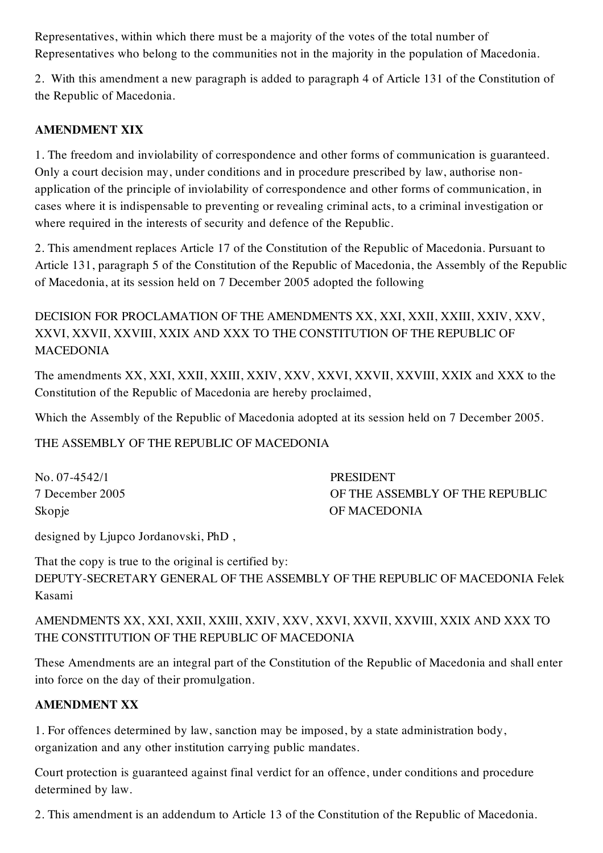Representatives, within which there must be a majority of the votes of the total number of Representatives who belong to the communities not in the majority in the population of Macedonia.

2. With this amendment a new paragraph is added to paragraph 4 of Article 131 of the Constitution of the Republic of Macedonia.

## **AMENDMENT XIX**

1. The freedom and inviolability of correspondence and other forms of communication is guaranteed. Only a court decision may, under conditions and in procedure prescribed by law, authorise nonapplication of the principle of inviolability of correspondence and other forms of communication, in cases where it is indispensable to preventing or revealing criminal acts, to a criminal investigation or where required in the interests of security and defence of the Republic.

2. This amendment replaces Article 17 of the Constitution of the Republic of Macedonia. Pursuant to Article 131, paragraph 5 of the Constitution of the Republic of Macedonia, the Assembly of the Republic of Macedonia, at its session held on 7 December 2005 adopted the following

DECISION FOR PROCLAMATION OF THE AMENDMENTS XX, XXI, XXII, XXIII, XXIV, XXV, XXVI, XXVII, XXVIII, XXIX AND XXX TO THE CONSTITUTION OF THE REPUBLIC OF **MACEDONIA** 

The amendments XX, XXI, XXII, XXIII, XXIV, XXV, XXVI, XXVII, XXVIII, XXIX and XXX to the Constitution of the Republic of Macedonia are hereby proclaimed,

Which the Assembly of the Republic of Macedonia adopted at its session held on 7 December 2005.

## THE ASSEMBLY OF THE REPUBLIC OF MACEDONIA

No. 07-4542/1 PRESIDENT Skopje OF MACEDONIA

7 December 2005 OF THE ASSEMBLY OF THE REPUBLIC

designed by Ljupco Jordanovski, PhD ,

That the copy is true to the original is certified by: DEPUTY-SECRETARY GENERAL OF THE ASSEMBLY OF THE REPUBLIC OF MACEDONIA Felek Kasami

AMENDMENTS XX, XXI, XXII, XXIII, XXIV, XXV, XXVI, XXVII, XXVIII, XXIX AND XXX TO THE CONSTITUTION OF THE REPUBLIC OF MACEDONIA

These Amendments are an integral part of the Constitution of the Republic of Macedonia and shall enter into force on the day of their promulgation.

## **AMENDMENT XX**

1. For offences determined by law, sanction may be imposed, by a state administration body, organization and any other institution carrying public mandates.

Court protection is guaranteed against final verdict for an offence, under conditions and procedure determined by law.

2. This amendment is an addendum to Article 13 of the Constitution of the Republic of Macedonia.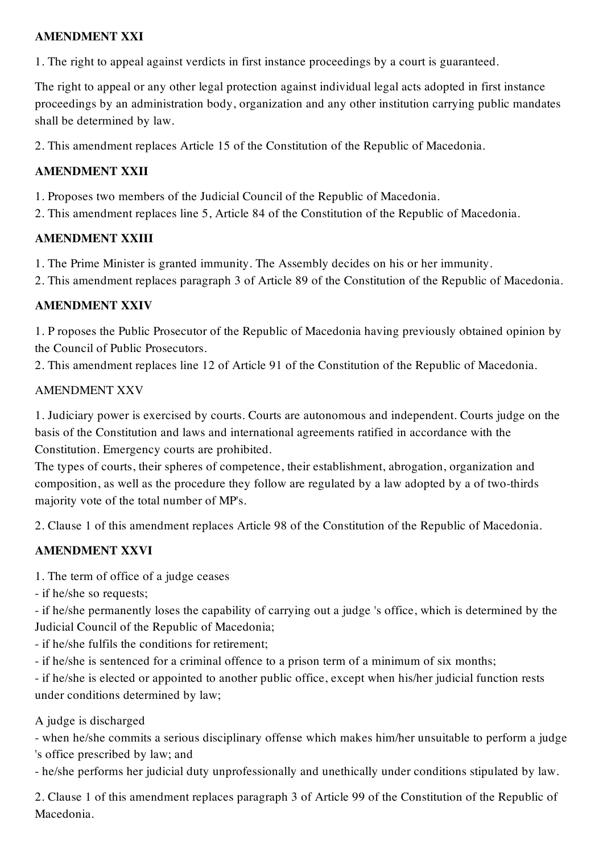### **AMENDMENT XXI**

1. The right to appeal against verdicts in first instance proceedings by a court is guaranteed.

The right to appeal or any other legal protection against individual legal acts adopted in first instance proceedings by an administration body, organization and any other institution carrying public mandates shall be determined by law.

2. This amendment replaces Article 15 of the Constitution of the Republic of Macedonia.

## **AMENDMENT XXII**

1. Proposes two members of the Judicial Council of the Republic of Macedonia.

2. This amendment replaces line 5, Article 84 of the Constitution of the Republic of Macedonia.

### **AMENDMENT XXIII**

1. The Prime Minister is granted immunity. The Assembly decides on his or her immunity.

2. This amendment replaces paragraph 3 of Article 89 of the Constitution of the Republic of Macedonia.

## **AMENDMENT XXIV**

1. P roposes the Public Prosecutor of the Republic of Macedonia having previously obtained opinion by the Council of Public Prosecutors.

2. This amendment replaces line 12 of Article 91 of the Constitution of the Republic of Macedonia.

### AMENDMENT XXV

1. Judiciary power is exercised by courts. Courts are autonomous and independent. Courts judge on the basis of the Constitution and laws and international agreements ratified in accordance with the Constitution. Emergency courts are prohibited.

The types of courts, their spheres of competence, their establishment, abrogation, organization and composition, as well as the procedure they follow are regulated by a law adopted by a of two-thirds majority vote of the total number of MP's.

2. Clause 1 of this amendment replaces Article 98 of the Constitution of the Republic of Macedonia.

## **AMENDMENT XXVI**

1. The term of office of a judge ceases

- if he/she so requests;

- if he/she permanently loses the capability of carrying out a judge 's office, which is determined by the Judicial Council of the Republic of Macedonia;

- if he/she fulfils the conditions for retirement;
- if he/she is sentenced for a criminal offence to a prison term of a minimum of six months;

- if he/she is elected or appointed to another public office, except when his/her judicial function rests under conditions determined by law;

A judge is discharged

- when he/she commits a serious disciplinary offense which makes him/her unsuitable to perform a judge 's office prescribed by law; and

- he/she performs her judicial duty unprofessionally and unethically under conditions stipulated by law.

2. Clause 1 of this amendment replaces paragraph 3 of Article 99 of the Constitution of the Republic of Macedonia.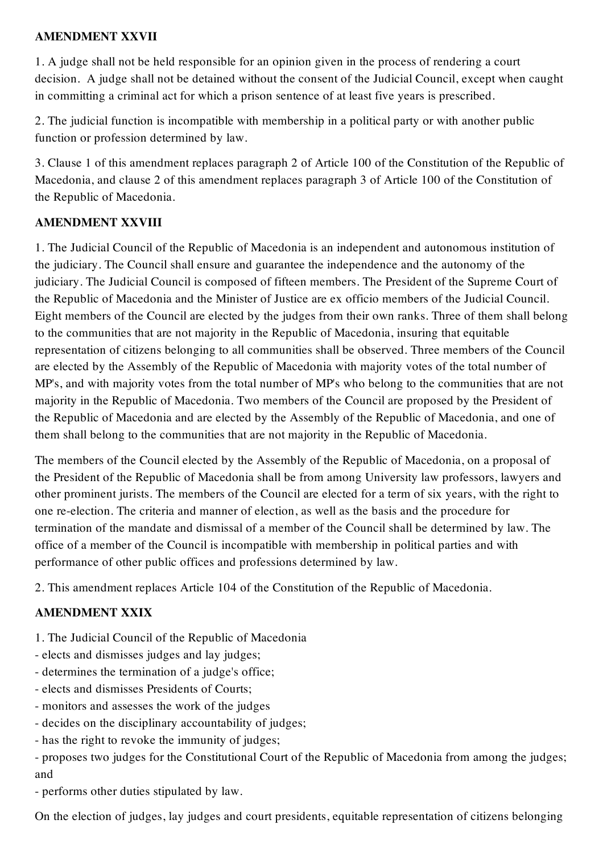### **AMENDMENT XXVII**

1. A judge shall not be held responsible for an opinion given in the process of rendering a court decision. A judge shall not be detained without the consent of the Judicial Council, except when caught in committing a criminal act for which a prison sentence of at least five years is prescribed.

2. The judicial function is incompatible with membership in a political party or with another public function or profession determined by law.

3. Clause 1 of this amendment replaces paragraph 2 of Article 100 of the Constitution of the Republic of Macedonia, and clause 2 of this amendment replaces paragraph 3 of Article 100 of the Constitution of the Republic of Macedonia.

## **AMENDMENT XXVIII**

1. The Judicial Council of the Republic of Macedonia is an independent and autonomous institution of the judiciary. The Council shall ensure and guarantee the independence and the autonomy of the judiciary. The Judicial Council is composed of fifteen members. The President of the Supreme Court of the Republic of Macedonia and the Minister of Justice are ex officio members of the Judicial Council. Eight members of the Council are elected by the judges from their own ranks. Three of them shall belong to the communities that are not majority in the Republic of Macedonia, insuring that equitable representation of citizens belonging to all communities shall be observed. Three members of the Council are elected by the Assembly of the Republic of Macedonia with majority votes of the total number of MP's, and with majority votes from the total number of MP's who belong to the communities that are not majority in the Republic of Macedonia. Two members of the Council are proposed by the President of the Republic of Macedonia and are elected by the Assembly of the Republic of Macedonia, and one of them shall belong to the communities that are not majority in the Republic of Macedonia.

The members of the Council elected by the Assembly of the Republic of Macedonia, on a proposal of the President of the Republic of Macedonia shall be from among University law professors, lawyers and other prominent jurists. The members of the Council are elected for a term of six years, with the right to one re-election. The criteria and manner of election, as well as the basis and the procedure for termination of the mandate and dismissal of a member of the Council shall be determined by law. The office of a member of the Council is incompatible with membership in political parties and with performance of other public offices and professions determined by law.

2. This amendment replaces Article 104 of the Constitution of the Republic of Macedonia.

## **AMENDMENT XXIX**

- 1. The Judicial Council of the Republic of Macedonia
- elects and dismisses judges and lay judges;
- determines the termination of a judge's office;
- elects and dismisses Presidents of Courts;
- monitors and assesses the work of the judges
- decides on the disciplinary accountability of judges;
- has the right to revoke the immunity of judges;

- proposes two judges for the Constitutional Court of the Republic of Macedonia from among the judges; and

- performs other duties stipulated by law.

On the election of judges, lay judges and court presidents, equitable representation of citizens belonging